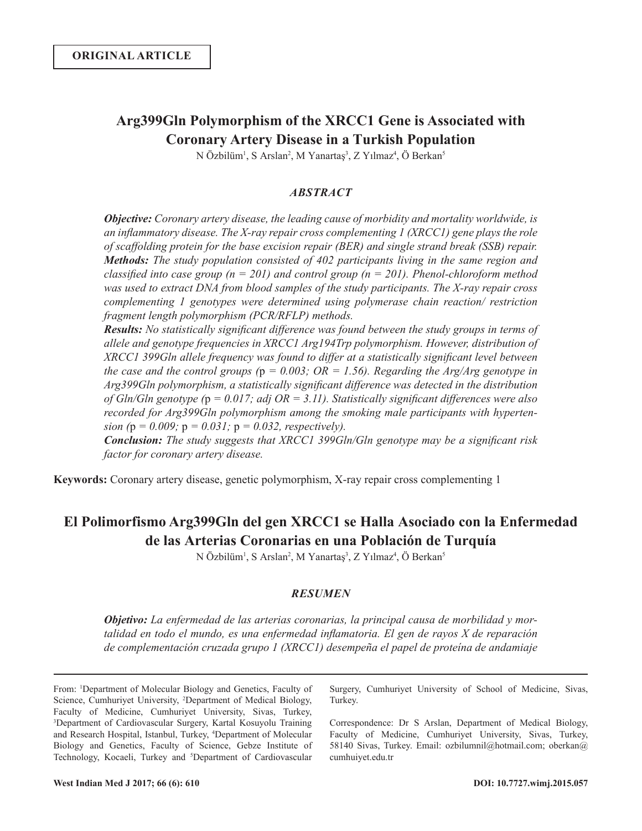## **Arg399Gln Polymorphism of the XRCC1 Gene is Associated with Coronary Artery Disease in a Turkish Population**

N Özbilüm<sup>1</sup>, S Arslan<sup>2</sup>, M Yanartaş<sup>3</sup>, Z Yılmaz<sup>4</sup>, Ö Berkan<sup>5</sup>

## *ABSTRACT*

*Objective: Coronary artery disease, the leading cause of morbidity and mortality worldwide, is an inflammatory disease. The X-ray repair cross complementing 1 (XRCC1) gene plays the role of scaffolding protein for the base excision repair (BER) and single strand break (SSB) repair. Methods: The study population consisted of 402 participants living in the same region and classified into case group (n = 201) and control group (n = 201). Phenol-chloroform method was used to extract DNA from blood samples of the study participants. The X-ray repair cross complementing 1 genotypes were determined using polymerase chain reaction/ restriction fragment length polymorphism (PCR/RFLP) methods.*

*Results: No statistically significant difference was found between the study groups in terms of allele and genotype frequencies in XRCC1 Arg194Trp polymorphism. However, distribution of XRCC1 399Gln allele frequency was found to differ at a statistically significant level between the case and the control groups (*p *= 0.003; OR = 1.56). Regarding the Arg/Arg genotype in Arg399Gln polymorphism, a statistically significant difference was detected in the distribution of Gln/Gln genotype (*p *= 0.017; adj OR = 3.11). Statistically significant differences were also recorded for Arg399Gln polymorphism among the smoking male participants with hypertension (*p *= 0.009;* p *= 0.031;* p *= 0.032, respectively).* 

*Conclusion: The study suggests that XRCC1 399Gln/Gln genotype may be a significant risk factor for coronary artery disease.* 

**Keywords:** Coronary artery disease, genetic polymorphism, X-ray repair cross complementing 1

# **El Polimorfismo Arg399Gln del gen XRCC1 se Halla Asociado con la Enfermedad de las Arterias Coronarias en una Población de Turquía**

N Özbilüm<sup>1</sup>, S Arslan<sup>2</sup>, M Yanartaş<sup>3</sup>, Z Yılmaz<sup>4</sup>, Ö Berkan<sup>5</sup>

## *RESUMEN*

*Objetivo: La enfermedad de las arterias coronarias, la principal causa de morbilidad y mortalidad en todo el mundo, es una enfermedad inflamatoria. El gen de rayos X de reparación de complementación cruzada grupo 1 (XRCC1) desempeña el papel de proteína de andamiaje* 

From: 1 Department of Molecular Biology and Genetics, Faculty of Science, Cumhuriyet University, 2 Department of Medical Biology, Faculty of Medicine, Cumhuriyet University, Sivas, Turkey, 3 Department of Cardiovascular Surgery, Kartal Kosuyolu Training and Research Hospital, Istanbul, Turkey, 4 Department of Molecular Biology and Genetics, Faculty of Science, Gebze Institute of Technology, Kocaeli, Turkey and <sup>5</sup>Department of Cardiovascular

Surgery, Cumhuriyet University of School of Medicine, Sivas, Turkey.

Correspondence: Dr S Arslan, Department of Medical Biology, Faculty of Medicine, Cumhuriyet University, Sivas, Turkey, 58140 Sivas, Turkey. Email: ozbilumnil@hotmail.com; oberkan@ cumhuiyet.edu.tr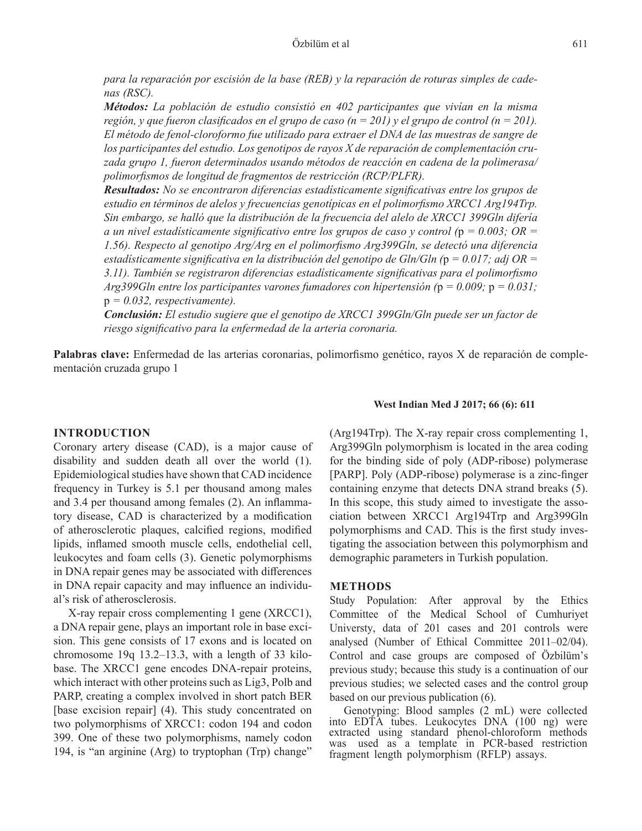*para la reparación por escisión de la base (REB) y la reparación de roturas simples de cadenas (RSC).* 

*Métodos: La población de estudio consistió en 402 participantes que vivían en la misma región, y que fueron clasificados en el grupo de caso (n = 201) y el grupo de control (n = 201). El método de fenol-cloroformo fue utilizado para extraer el DNA de las muestras de sangre de los participantes del estudio. Los genotipos de rayos X de reparación de complementación cruzada grupo 1, fueron determinados usando métodos de reacción en cadena de la polimerasa/ polimorfismos de longitud de fragmentos de restricción (RCP/PLFR).*

*Resultados: No se encontraron diferencias estadísticamente significativas entre los grupos de estudio en términos de alelos y frecuencias genotípicas en el polimorfismo XRCC1 Arg194Trp. Sin embargo, se halló que la distribución de la frecuencia del alelo de XRCC1 399Gln difería a un nivel estadísticamente significativo entre los grupos de caso y control (*p *= 0.003; OR = 1.56). Respecto al genotipo Arg/Arg en el polimorfismo Arg399Gln, se detectó una diferencia estadísticamente significativa en la distribución del genotipo de Gln/Gln (*p *= 0.017; adj OR = 3.11). También se registraron diferencias estadísticamente significativas para el polimorfismo Arg399Gln entre los participantes varones fumadores con hipertensión (*p *= 0.009;* p *= 0.031;*  p *= 0.032, respectivamente).* 

*Conclusión: El estudio sugiere que el genotipo de XRCC1 399Gln/Gln puede ser un factor de riesgo significativo para la enfermedad de la arteria coronaria.* 

**Palabras clave:** Enfermedad de las arterias coronarias, polimorfismo genético, rayos X de reparación de complementación cruzada grupo 1

## **INTRODUCTION**

Coronary artery disease (CAD), is a major cause of disability and sudden death all over the world (1). Epidemiological studies have shown that CAD incidence frequency in Turkey is 5.1 per thousand among males and 3.4 per thousand among females (2). An inflammatory disease, CAD is characterized by a modification of atherosclerotic plaques, calcified regions, modified lipids, inflamed smooth muscle cells, endothelial cell, leukocytes and foam cells (3). Genetic polymorphisms in DNA repair genes may be associated with differences in DNA repair capacity and may influence an individual's risk of atherosclerosis.

X-ray repair cross complementing 1 gene (XRCC1), a DNA repair gene, plays an important role in base excision. This gene consists of 17 exons and is located on chromosome 19q 13.2–13.3, with a length of 33 kilobase. The XRCC1 gene encodes DNA-repair proteins, which interact with other proteins such as Lig3, Polb and PARP, creating a complex involved in short patch BER [base excision repair] (4). This study concentrated on two polymorphisms of XRCC1: codon 194 and codon 399. One of these two polymorphisms, namely codon 194, is "an arginine (Arg) to tryptophan (Trp) change"

#### **West Indian Med J 2017; 66 (6): 611**

(Arg194Trp). The X-ray repair cross complementing 1, Arg399Gln polymorphism is located in the area coding for the binding side of poly (ADP-ribose) polymerase [PARP]. Poly (ADP-ribose) polymerase is a zinc-finger containing enzyme that detects DNA strand breaks (5). In this scope, this study aimed to investigate the association between XRCC1 Arg194Trp and Arg399Gln polymorphisms and CAD. This is the first study investigating the association between this polymorphism and demographic parameters in Turkish population.

#### **METHODS**

Study Population: After approval by the Ethics Committee of the Medical School of Cumhuriyet Universty, data of 201 cases and 201 controls were analysed (Number of Ethical Committee 2011–02/04). Control and case groups are composed of Özbilüm's previous study; because this study is a continuation of our previous studies; we selected cases and the control group based on our previous publication (6).

Genotyping: Blood samples (2 mL) were collected into EDTA tubes. Leukocytes DNA (100 ng) were extracted using standard phenol-chloroform methods was used as a template in PCR-based restriction fragment length polymorphism (RFLP) assays.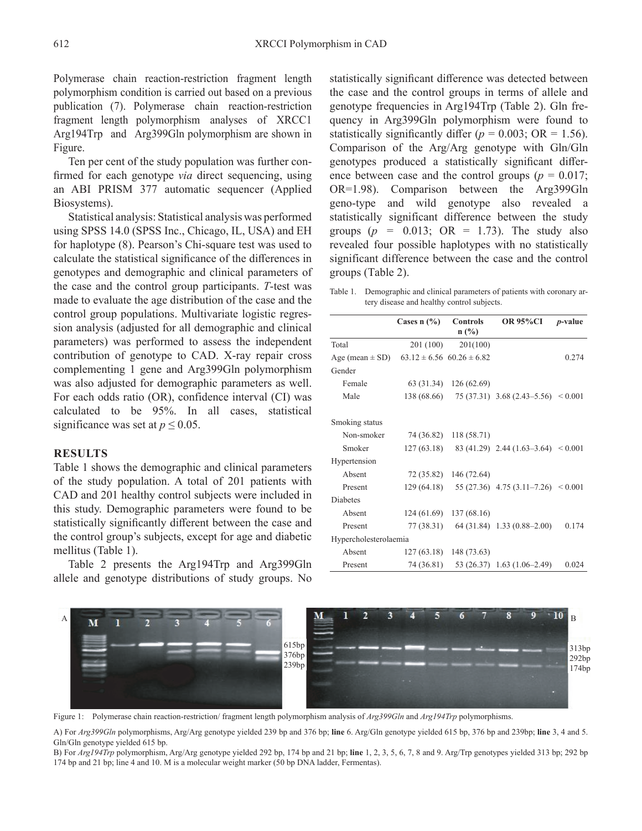Polymerase chain reaction-restriction fragment length polymorphism condition is carried out based on a previous publication (7). Polymerase chain reaction-restriction fragment length polymorphism analyses of XRCC1 Arg194Trp and Arg399Gln polymorphism are shown in Figure.

Ten per cent of the study population was further confirmed for each genotype *via* direct sequencing, using an ABI PRISM 377 automatic sequencer (Applied Biosystems).

Statistical analysis: Statistical analysis was performed using SPSS 14.0 (SPSS Inc., Chicago, IL, USA) and EH for haplotype (8). Pearson's Chi-square test was used to calculate the statistical significance of the differences in genotypes and demographic and clinical parameters of the case and the control group participants. *T*-test was made to evaluate the age distribution of the case and the control group populations. Multivariate logistic regression analysis (adjusted for all demographic and clinical parameters) was performed to assess the independent contribution of genotype to CAD. X-ray repair cross complementing 1 gene and Arg399Gln polymorphism was also adjusted for demographic parameters as well. For each odds ratio (OR), confidence interval (CI) was calculated to be 95%. In all cases, statistical significance was set at  $p \le 0.05$ .

#### **RESULTS**

Table 1 shows the demographic and clinical parameters of the study population. A total of 201 patients with CAD and 201 healthy control subjects were included in this study. Demographic parameters were found to be statistically significantly different between the case and the control group's subjects, except for age and diabetic mellitus (Table 1).

Table 2 presents the Arg194Trp and Arg399Gln allele and genotype distributions of study groups. No statistically significant difference was detected between the case and the control groups in terms of allele and genotype frequencies in Arg194Trp (Table 2). Gln frequency in Arg399Gln polymorphism were found to statistically significantly differ  $(p = 0.003; \text{ OR } = 1.56)$ . Comparison of the Arg/Arg genotype with Gln/Gln genotypes produced a statistically significant difference between case and the control groups ( $p = 0.017$ ; OR=1.98). Comparison between the Arg399Gln geno-type and wild genotype also revealed a statistically significant difference between the study groups  $(p = 0.013; \text{ OR } = 1.73)$ . The study also revealed four possible haplotypes with no statistically significant difference between the case and the control groups (Table 2).

Table 1. Demographic and clinical parameters of patients with coronary artery disease and healthy control subjects.

|                       | Cases $n$ (%) | <b>Controls</b>                   | <b>OR 95%CI</b>                          | <i>p</i> -value |
|-----------------------|---------------|-----------------------------------|------------------------------------------|-----------------|
|                       |               | $n(^{0}/_{0})$                    |                                          |                 |
| Total                 | 201 (100)     | 201(100)                          |                                          |                 |
| Age (mean $\pm$ SD)   |               | $63.12 \pm 6.56$ $60.26 \pm 6.82$ |                                          | 0.274           |
| Gender                |               |                                   |                                          |                 |
| Female                | 63 (31.34)    | 126 (62.69)                       |                                          |                 |
| Male                  | 138 (68.66)   |                                   | $75(37.31)$ 3.68 $(2.43-5.56)$ < 0.001   |                 |
| Smoking status        |               |                                   |                                          |                 |
| Non-smoker            | 74 (36.82)    | 118 (58.71)                       |                                          |                 |
| Smoker                | 127(63.18)    |                                   | 83 (41.29) 2.44 (1.63-3.64) $< 0.001$    |                 |
| Hypertension          |               |                                   |                                          |                 |
| Absent                | 72 (35.82)    | 146 (72.64)                       |                                          |                 |
| Present               | 129 (64.18)   |                                   | 55 (27.36) 4.75 (3.11–7.26) $\leq 0.001$ |                 |
| <b>Diabetes</b>       |               |                                   |                                          |                 |
| Absent                | 124(61.69)    | 137 (68.16)                       |                                          |                 |
| Present               | 77 (38.31)    |                                   | $64(31.84)$ 1.33 $(0.88-2.00)$           | 0.174           |
| Hypercholesterolaemia |               |                                   |                                          |                 |
| Absent                | 127(63.18)    | 148 (73.63)                       |                                          |                 |
| Present               | 74 (36.81)    |                                   | 53 (26.37) 1.63 (1.06-2.49)              | 0.024           |



Figure 1: Polymerase chain reaction-restriction/ fragment length polymorphism analysis of *Arg399Gln* and *Arg194Trp* polymorphisms.

A) For *Arg399Gln* polymorphisms, Arg/Arg genotype yielded 239 bp and 376 bp; **line** 6. Arg/Gln genotype yielded 615 bp, 376 bp and 239bp; **line** 3, 4 and 5. Gln/Gln genotype yielded 615 bp.

B) For *Arg194Trp* polymorphism, Arg/Arg genotype yielded 292 bp, 174 bp and 21 bp; **line** 1, 2, 3, 5, 6, 7, 8 and 9. Arg/Trp genotypes yielded 313 bp; 292 bp 174 bp and 21 bp; line 4 and 10. M is a molecular weight marker (50 bp DNA ladder, Fermentas).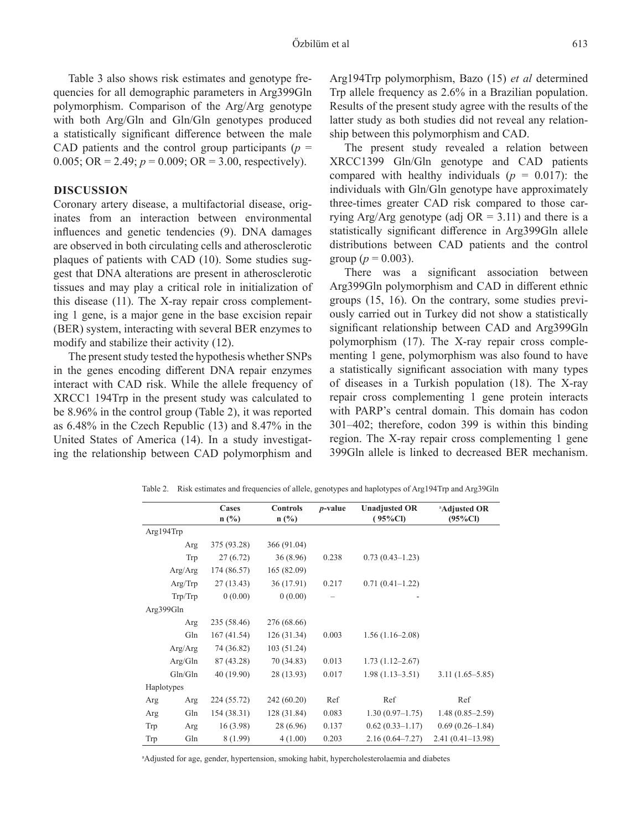Table 3 also shows risk estimates and genotype frequencies for all demographic parameters in Arg399Gln polymorphism. Comparison of the Arg/Arg genotype with both Arg/Gln and Gln/Gln genotypes produced a statistically significant difference between the male CAD patients and the control group participants ( $p =$ 0.005; OR = 2.49;  $p = 0.009$ ; OR = 3.00, respectively).

## **DISCUSSION**

Coronary artery disease, a multifactorial disease, originates from an interaction between environmental influences and genetic tendencies (9). DNA damages are observed in both circulating cells and atherosclerotic plaques of patients with CAD (10). Some studies suggest that DNA alterations are present in atherosclerotic tissues and may play a critical role in initialization of this disease (11). The X-ray repair cross complementing 1 gene, is a major gene in the base excision repair (BER) system, interacting with several BER enzymes to modify and stabilize their activity (12).

The present study tested the hypothesis whether SNPs in the genes encoding different DNA repair enzymes interact with CAD risk. While the allele frequency of XRCC1 194Trp in the present study was calculated to be 8.96% in the control group (Table 2), it was reported as 6.48% in the Czech Republic (13) and 8.47% in the United States of America (14). In a study investigating the relationship between CAD polymorphism and

Arg194Trp polymorphism, Bazo (15) *et al* determined Trp allele frequency as 2.6% in a Brazilian population. Results of the present study agree with the results of the latter study as both studies did not reveal any relationship between this polymorphism and CAD.

The present study revealed a relation between XRCC1399 Gln/Gln genotype and CAD patients compared with healthy individuals  $(p = 0.017)$ : the individuals with Gln/Gln genotype have approximately three-times greater CAD risk compared to those carrying Arg/Arg genotype (adj  $OR = 3.11$ ) and there is a statistically significant difference in Arg399Gln allele distributions between CAD patients and the control group ( $p = 0.003$ ).

There was a significant association between Arg399Gln polymorphism and CAD in different ethnic groups (15, 16). On the contrary, some studies previously carried out in Turkey did not show a statistically significant relationship between CAD and Arg399Gln polymorphism (17). The X-ray repair cross complementing 1 gene, polymorphism was also found to have a statistically significant association with many types of diseases in a Turkish population (18). The X-ray repair cross complementing 1 gene protein interacts with PARP's central domain. This domain has codon 301‒402; therefore, codon 399 is within this binding region. The X-ray repair cross complementing 1 gene 399Gln allele is linked to decreased BER mechanism.

Table 2. Risk estimates and frequencies of allele, genotypes and haplotypes of Arg194Trp and Arg39Gln **Cases Controls**  *p***-value Unadjusted OR**  a **Adjusted OR** 

|            | $\sim$ asco<br>$n$ (%) | $\sim$ unu vis<br>$n$ (%) | $p$ -value | Unaujusteu On<br>$(95\%CI)$ | Aujustuu OK<br>$(95\%CI)$ |
|------------|------------------------|---------------------------|------------|-----------------------------|---------------------------|
| Arg194Trp  |                        |                           |            |                             |                           |
| Arg        | 375 (93.28)            | 366 (91.04)               |            |                             |                           |
| Trp        | 27(6.72)               | 36(8.96)                  | 0.238      | $0.73(0.43 - 1.23)$         |                           |
| Arg/Arg    | 174 (86.57)            | 165 (82.09)               |            |                             |                           |
| Arg/Trp    | 27(13.43)              | 36 (17.91)                | 0.217      | $0.71(0.41-1.22)$           |                           |
| Trp/Trp    | 0(0.00)                | 0(0.00)                   |            |                             |                           |
| Arg399Gln  |                        |                           |            |                             |                           |
| Arg        | 235 (58.46)            | 276 (68.66)               |            |                             |                           |
| Gln        | 167 (41.54)            | 126 (31.34)               | 0.003      | $1.56(1.16-2.08)$           |                           |
| Arg/Arg    | 74 (36.82)             | 103 (51.24)               |            |                             |                           |
| Arg/Gln    | 87 (43.28)             | 70 (34.83)                | 0.013      | $1.73(1.12 - 2.67)$         |                           |
| Gln/Gln    | 40 (19.90)             | 28 (13.93)                | 0.017      | $1.98(1.13 - 3.51)$         | $3.11(1.65 - 5.85)$       |
| Haplotypes |                        |                           |            |                             |                           |
| Arg<br>Arg | 224 (55.72)            | 242 (60.20)               | Ref        | Ref                         | Ref                       |
| Gln<br>Arg | 154(38.31)             | 128 (31.84)               | 0.083      | $1.30(0.97-1.75)$           | $1.48(0.85-2.59)$         |
| Trp<br>Arg | 16(3.98)               | 28 (6.96)                 | 0.137      | $0.62(0.33 - 1.17)$         | $0.69(0.26-1.84)$         |
| Gln<br>Trp | 8 (1.99)               | 4(1.00)                   | 0.203      | $2.16(0.64 - 7.27)$         | $2.41(0.41-13.98)$        |

a Adjusted for age, gender, hypertension, smoking habit, hypercholesterolaemia and diabetes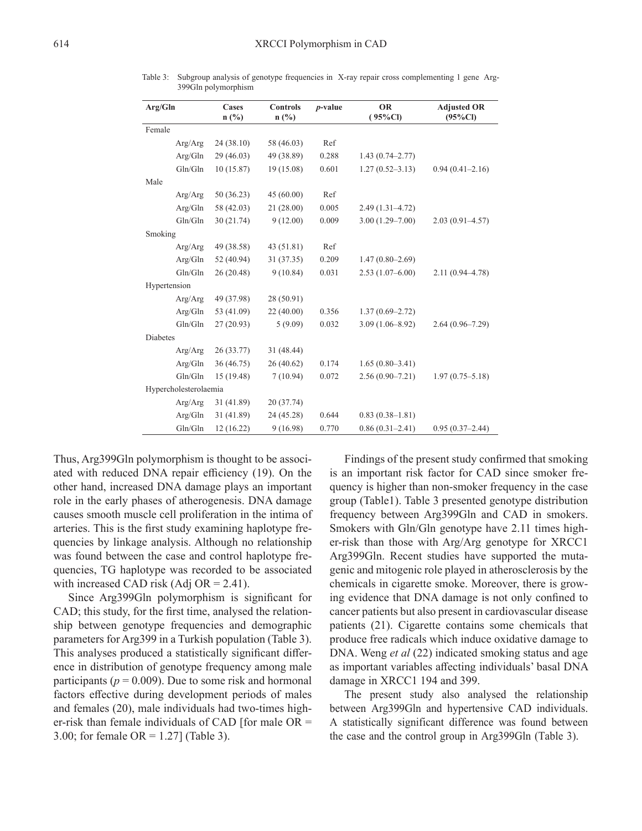| Arg/Gln               | Cases<br>$n\left(\frac{0}{0}\right)$ | <b>Controls</b><br>$n$ (%) | $p$ -value | <b>OR</b><br>$(95\%CI)$ | <b>Adjusted OR</b><br>$(95\%CI)$ |  |
|-----------------------|--------------------------------------|----------------------------|------------|-------------------------|----------------------------------|--|
| Female                |                                      |                            |            |                         |                                  |  |
| Arg/Arg               | 24 (38.10)                           | 58 (46.03)                 | Ref        |                         |                                  |  |
|                       |                                      |                            |            |                         |                                  |  |
| Arg/Gln               | 29 (46.03)                           | 49 (38.89)                 | 0.288      | $1.43(0.74 - 2.77)$     |                                  |  |
| Gln/Gln               | 10(15.87)                            | 19 (15.08)                 | 0.601      | $1.27(0.52 - 3.13)$     | $0.94(0.41 - 2.16)$              |  |
| Male                  |                                      |                            |            |                         |                                  |  |
| Arg/Arg               | 50 (36.23)                           | 45(60.00)                  | Ref        |                         |                                  |  |
| Arg/Gln               | 58 (42.03)                           | 21(28.00)                  | 0.005      | $2.49(1.31 - 4.72)$     |                                  |  |
| Gln/Gln               | 30(21.74)                            | 9(12.00)                   | 0.009      | $3.00(1.29 - 7.00)$     | $2.03(0.91 - 4.57)$              |  |
| Smoking               |                                      |                            |            |                         |                                  |  |
| Arg/Arg               | 49 (38.58)                           | 43 (51.81)                 | Ref        |                         |                                  |  |
| Arg/Gln               | 52 (40.94)                           | 31 (37.35)                 | 0.209      | $1.47(0.80 - 2.69)$     |                                  |  |
| Gln/Gln               | 26(20.48)                            | 9(10.84)                   | 0.031      | $2.53(1.07-6.00)$       | $2.11(0.94 - 4.78)$              |  |
| Hypertension          |                                      |                            |            |                         |                                  |  |
| Arg/Arg               | 49 (37.98)                           | 28 (50.91)                 |            |                         |                                  |  |
| Arg/Gln               | 53 (41.09)                           | 22(40.00)                  | 0.356      | $1.37(0.69 - 2.72)$     |                                  |  |
| Gln/Gln               | 27(20.93)                            | 5(9.09)                    | 0.032      | $3.09(1.06 - 8.92)$     | $2.64(0.96 - 7.29)$              |  |
| <b>Diabetes</b>       |                                      |                            |            |                         |                                  |  |
| Arg/Arg               | 26(33.77)                            | 31 (48.44)                 |            |                         |                                  |  |
| Arg/Gln               | 36 (46.75)                           | 26(40.62)                  | 0.174      | $1.65(0.80-3.41)$       |                                  |  |
| Gln/Gln               | 15(19.48)                            | 7(10.94)                   | 0.072      | $2.56(0.90 - 7.21)$     | $1.97(0.75 - 5.18)$              |  |
| Hypercholesterolaemia |                                      |                            |            |                         |                                  |  |
| Arg/Arg               | 31 (41.89)                           | 20 (37.74)                 |            |                         |                                  |  |
| Arg/Gln               | 31 (41.89)                           | 24 (45.28)                 | 0.644      | $0.83(0.38 - 1.81)$     |                                  |  |
| Gln/Gln               | 12(16.22)                            | 9(16.98)                   | 0.770      | $0.86(0.31 - 2.41)$     | $0.95(0.37-2.44)$                |  |

Table 3: Subgroup analysis of genotype frequencies in X-ray repair cross complementing 1 gene Arg-399Gln polymorphism

Thus, Arg399Gln polymorphism is thought to be associated with reduced DNA repair efficiency (19). On the other hand, increased DNA damage plays an important role in the early phases of atherogenesis. DNA damage causes smooth muscle cell proliferation in the intima of arteries. This is the first study examining haplotype frequencies by linkage analysis. Although no relationship was found between the case and control haplotype frequencies, TG haplotype was recorded to be associated with increased CAD risk (Adj OR =  $2.41$ ).

Since Arg399Gln polymorphism is significant for CAD; this study, for the first time, analysed the relationship between genotype frequencies and demographic parameters for Arg399 in a Turkish population (Table 3). This analyses produced a statistically significant difference in distribution of genotype frequency among male participants ( $p = 0.009$ ). Due to some risk and hormonal factors effective during development periods of males and females (20), male individuals had two-times higher-risk than female individuals of CAD [for male OR = 3.00; for female  $OR = 1.27$  (Table 3).

Findings of the present study confirmed that smoking is an important risk factor for CAD since smoker frequency is higher than non-smoker frequency in the case group (Table1). Table 3 presented genotype distribution frequency between Arg399Gln and CAD in smokers. Smokers with Gln/Gln genotype have 2.11 times higher-risk than those with Arg/Arg genotype for XRCC1 Arg399Gln. Recent studies have supported the mutagenic and mitogenic role played in atherosclerosis by the chemicals in cigarette smoke. Moreover, there is growing evidence that DNA damage is not only confined to cancer patients but also present in cardiovascular disease patients (21). Cigarette contains some chemicals that produce free radicals which induce oxidative damage to DNA. Weng *et al* (22) indicated smoking status and age as important variables affecting individuals' basal DNA damage in XRCC1 194 and 399.

The present study also analysed the relationship between Arg399Gln and hypertensive CAD individuals. A statistically significant difference was found between the case and the control group in Arg399Gln (Table 3).